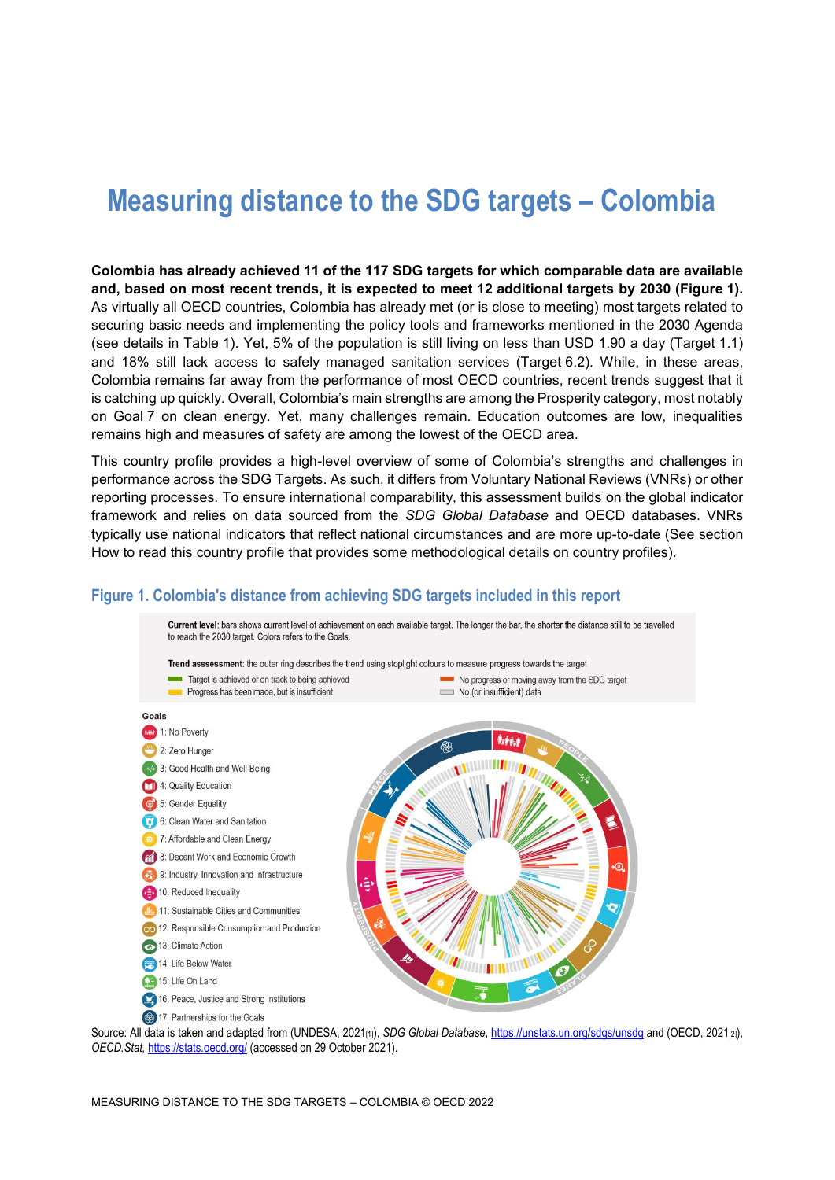# **Measuring distance to the SDG targets – Colombia**

**Colombia has already achieved 11 of the 117 SDG targets for which comparable data are available and, based on most recent trends, it is expected to meet 12 additional targets by 2030 [\(Figure](#page-0-0) 1).** As virtually all OECD countries, Colombia has already met (or is close to meeting) most targets related to securing basic needs and implementing the policy tools and frameworks mentioned in the 2030 Agenda (see details in [Table](#page-3-0) 1). Yet, 5% of the population is still living on less than USD 1.90 a day (Target 1.1) and 18% still lack access to safely managed sanitation services (Target 6.2). While, in these areas, Colombia remains far away from the performance of most OECD countries, recent trends suggest that it is catching up quickly. Overall, Colombia's main strengths are among the Prosperity category, most notably on Goal 7 on clean energy. Yet, many challenges remain. Education outcomes are low, inequalities remains high and measures of safety are among the lowest of the OECD area.

This country profile provides a high-level overview of some of Colombia's strengths and challenges in performance across the SDG Targets. As such, it differs from Voluntary National Reviews (VNRs) or other reporting processes. To ensure international comparability, this assessment builds on the global indicator framework and relies on data sourced from the *SDG Global Database* and OECD databases. VNRs typically use national indicators that reflect national circumstances and are more up-to-date (See section [How to read this](#page-7-0) country profile that provides some methodological details on country profiles).

#### <span id="page-0-0"></span>**Figure 1. Colombia's distance from achieving SDG targets included in this report**



Source: All data is taken and adapted from (UNDESA, 2021<sub>[1]</sub>), *SDG Global Database*[, https://unstats.un.org/sdgs/unsdg](https://unstats.un.org/sdgs/unsdg) and (OECD, 2021<sub>[2]</sub>), *OECD.Stat,* <https://stats.oecd.org/> (accessed on 29 October 2021).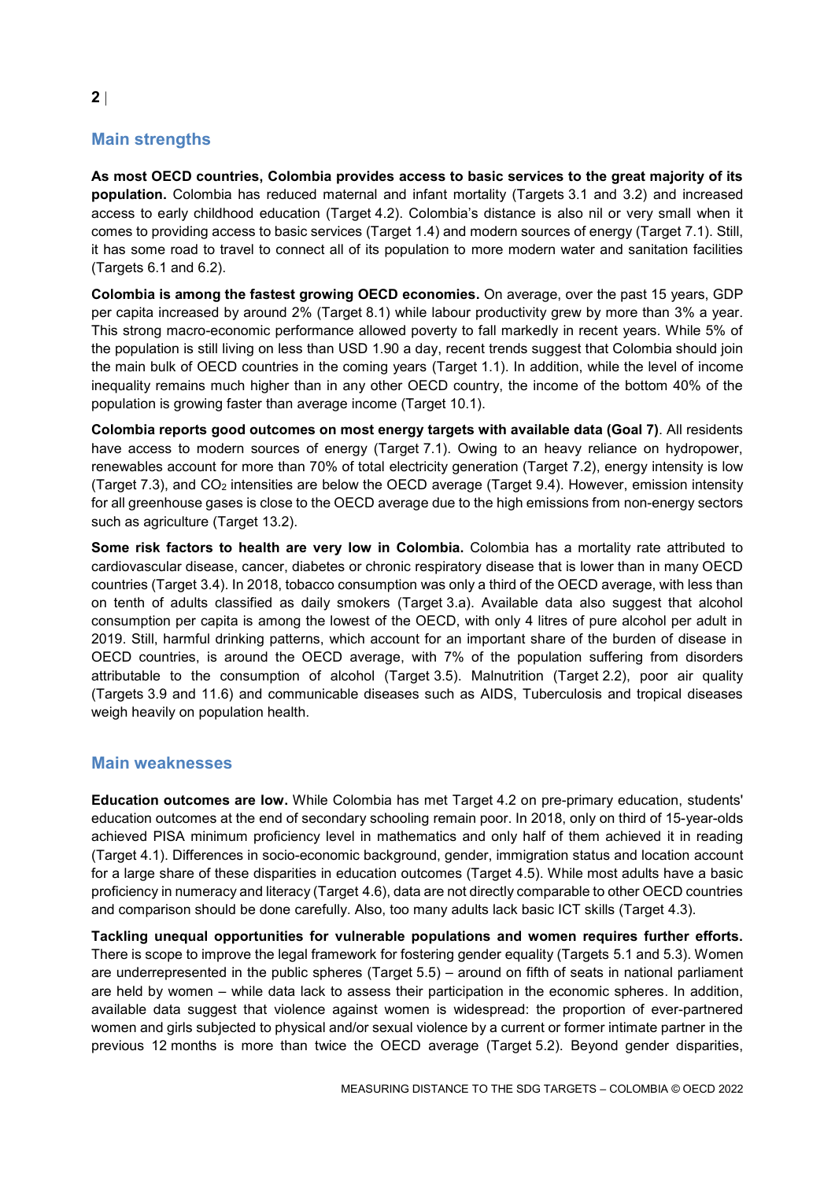## **Main strengths**

**As most OECD countries, Colombia provides access to basic services to the great majority of its population.** Colombia has reduced maternal and infant mortality (Targets 3.1 and 3.2) and increased access to early childhood education (Target 4.2). Colombia's distance is also nil or very small when it comes to providing access to basic services (Target 1.4) and modern sources of energy (Target 7.1). Still, it has some road to travel to connect all of its population to more modern water and sanitation facilities (Targets 6.1 and 6.2).

**Colombia is among the fastest growing OECD economies.** On average, over the past 15 years, GDP per capita increased by around 2% (Target 8.1) while labour productivity grew by more than 3% a year. This strong macro-economic performance allowed poverty to fall markedly in recent years. While 5% of the population is still living on less than USD 1.90 a day, recent trends suggest that Colombia should join the main bulk of OECD countries in the coming years (Target 1.1). In addition, while the level of income inequality remains much higher than in any other OECD country, the income of the bottom 40% of the population is growing faster than average income (Target 10.1).

**Colombia reports good outcomes on most energy targets with available data (Goal 7)**. All residents have access to modern sources of energy (Target 7.1). Owing to an heavy reliance on hydropower, renewables account for more than 70% of total electricity generation (Target 7.2), energy intensity is low (Target 7.3), and CO<sub>2</sub> intensities are below the OECD average (Target 9.4). However, emission intensity for all greenhouse gases is close to the OECD average due to the high emissions from non-energy sectors such as agriculture (Target 13.2).

**Some risk factors to health are very low in Colombia.** Colombia has a mortality rate attributed to cardiovascular disease, cancer, diabetes or chronic respiratory disease that is lower than in many OECD countries (Target 3.4). In 2018, tobacco consumption was only a third of the OECD average, with less than on tenth of adults classified as daily smokers (Target 3.a). Available data also suggest that alcohol consumption per capita is among the lowest of the OECD, with only 4 litres of pure alcohol per adult in 2019. Still, harmful drinking patterns, which account for an important share of the burden of disease in OECD countries, is around the OECD average, with 7% of the population suffering from disorders attributable to the consumption of alcohol (Target 3.5). Malnutrition (Target 2.2), poor air quality (Targets 3.9 and 11.6) and communicable diseases such as AIDS, Tuberculosis and tropical diseases weigh heavily on population health.

#### **Main weaknesses**

**Education outcomes are low.** While Colombia has met Target 4.2 on pre-primary education, students' education outcomes at the end of secondary schooling remain poor. In 2018, only on third of 15-year-olds achieved PISA minimum proficiency level in mathematics and only half of them achieved it in reading (Target 4.1). Differences in socio-economic background, gender, immigration status and location account for a large share of these disparities in education outcomes (Target 4.5). While most adults have a basic proficiency in numeracy and literacy (Target 4.6), data are not directly comparable to other OECD countries and comparison should be done carefully. Also, too many adults lack basic ICT skills (Target 4.3).

**Tackling unequal opportunities for vulnerable populations and women requires further efforts.** There is scope to improve the legal framework for fostering gender equality (Targets 5.1 and 5.3). Women are underrepresented in the public spheres (Target 5.5) – around on fifth of seats in national parliament are held by women – while data lack to assess their participation in the economic spheres. In addition, available data suggest that violence against women is widespread: the proportion of ever-partnered women and girls subjected to physical and/or sexual violence by a current or former intimate partner in the previous 12 months is more than twice the OECD average (Target 5.2). Beyond gender disparities,

**2**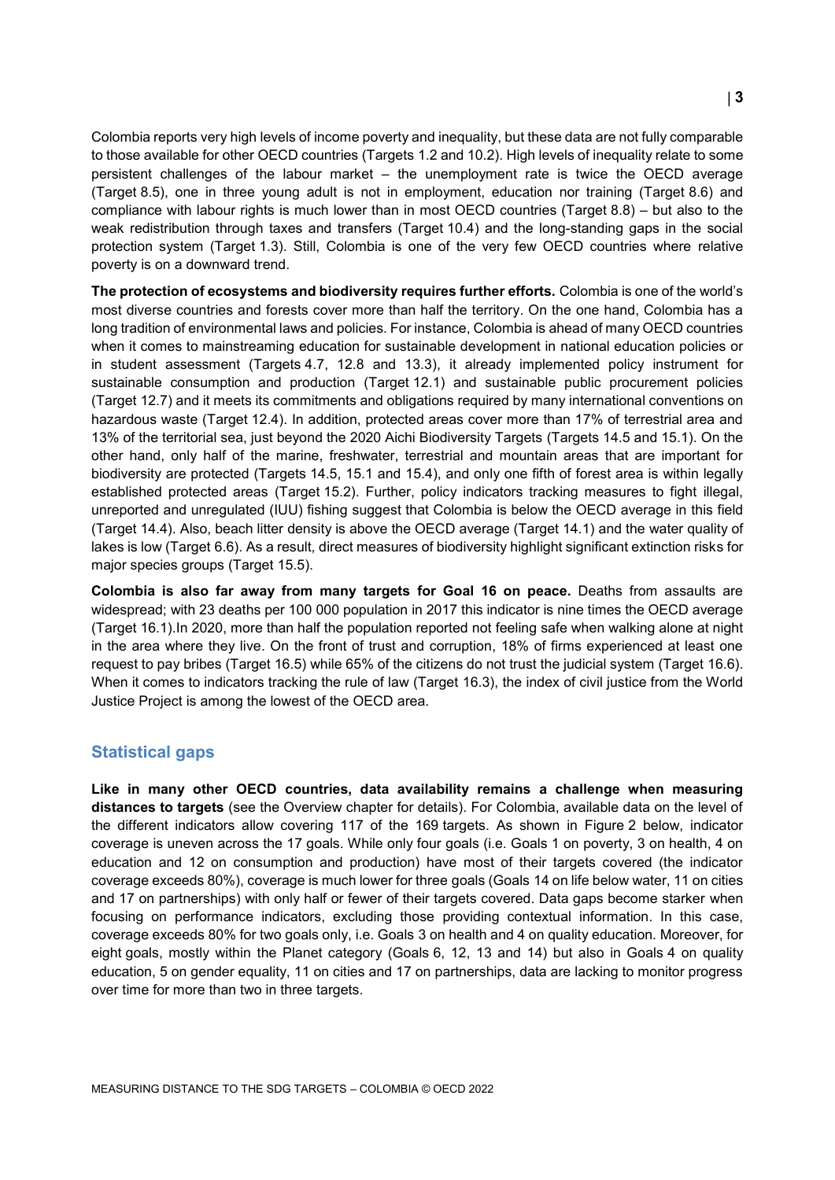Colombia reports very high levels of income poverty and inequality, but these data are not fully comparable to those available for other OECD countries (Targets 1.2 and 10.2). High levels of inequality relate to some persistent challenges of the labour market – the unemployment rate is twice the OECD average (Target 8.5), one in three young adult is not in employment, education nor training (Target 8.6) and compliance with labour rights is much lower than in most OECD countries (Target 8.8) – but also to the weak redistribution through taxes and transfers (Target 10.4) and the long-standing gaps in the social protection system (Target 1.3). Still, Colombia is one of the very few OECD countries where relative poverty is on a downward trend.

**The protection of ecosystems and biodiversity requires further efforts.** Colombia is one of the world's most diverse countries and forests cover more than half the territory. On the one hand, Colombia has a long tradition of environmental laws and policies. For instance, Colombia is ahead of many OECD countries when it comes to mainstreaming education for sustainable development in national education policies or in student assessment (Targets 4.7, 12.8 and 13.3), it already implemented policy instrument for sustainable consumption and production (Target 12.1) and sustainable public procurement policies (Target 12.7) and it meets its commitments and obligations required by many international conventions on hazardous waste (Target 12.4). In addition, protected areas cover more than 17% of terrestrial area and 13% of the territorial sea, just beyond the 2020 Aichi Biodiversity Targets (Targets 14.5 and 15.1). On the other hand, only half of the marine, freshwater, terrestrial and mountain areas that are important for biodiversity are protected (Targets 14.5, 15.1 and 15.4), and only one fifth of forest area is within legally established protected areas (Target 15.2). Further, policy indicators tracking measures to fight illegal, unreported and unregulated (IUU) fishing suggest that Colombia is below the OECD average in this field (Target 14.4). Also, beach litter density is above the OECD average (Target 14.1) and the water quality of lakes is low (Target 6.6). As a result, direct measures of biodiversity highlight significant extinction risks for major species groups (Target 15.5).

**Colombia is also far away from many targets for Goal 16 on peace.** Deaths from assaults are widespread; with 23 deaths per 100 000 population in 2017 this indicator is nine times the OECD average (Target 16.1).In 2020, more than half the population reported not feeling safe when walking alone at night in the area where they live. On the front of trust and corruption, 18% of firms experienced at least one request to pay bribes (Target 16.5) while 65% of the citizens do not trust the judicial system (Target 16.6). When it comes to indicators tracking the rule of law (Target 16.3), the index of civil justice from the World Justice Project is among the lowest of the OECD area.

## **Statistical gaps**

**Like in many other OECD countries, data availability remains a challenge when measuring distances to targets** (see the Overview chapter for details). For Colombia, available data on the level of the different indicators allow covering 117 of the 169 targets. As shown in [Figure](#page-3-1) 2 below, indicator coverage is uneven across the 17 goals. While only four goals (i.e. Goals 1 on poverty, 3 on health, 4 on education and 12 on consumption and production) have most of their targets covered (the indicator coverage exceeds 80%), coverage is much lower for three goals (Goals 14 on life below water, 11 on cities and 17 on partnerships) with only half or fewer of their targets covered. Data gaps become starker when focusing on performance indicators, excluding those providing contextual information. In this case, coverage exceeds 80% for two goals only, i.e. Goals 3 on health and 4 on quality education. Moreover, for eight goals, mostly within the Planet category (Goals 6, 12, 13 and 14) but also in Goals 4 on quality education, 5 on gender equality, 11 on cities and 17 on partnerships, data are lacking to monitor progress over time for more than two in three targets.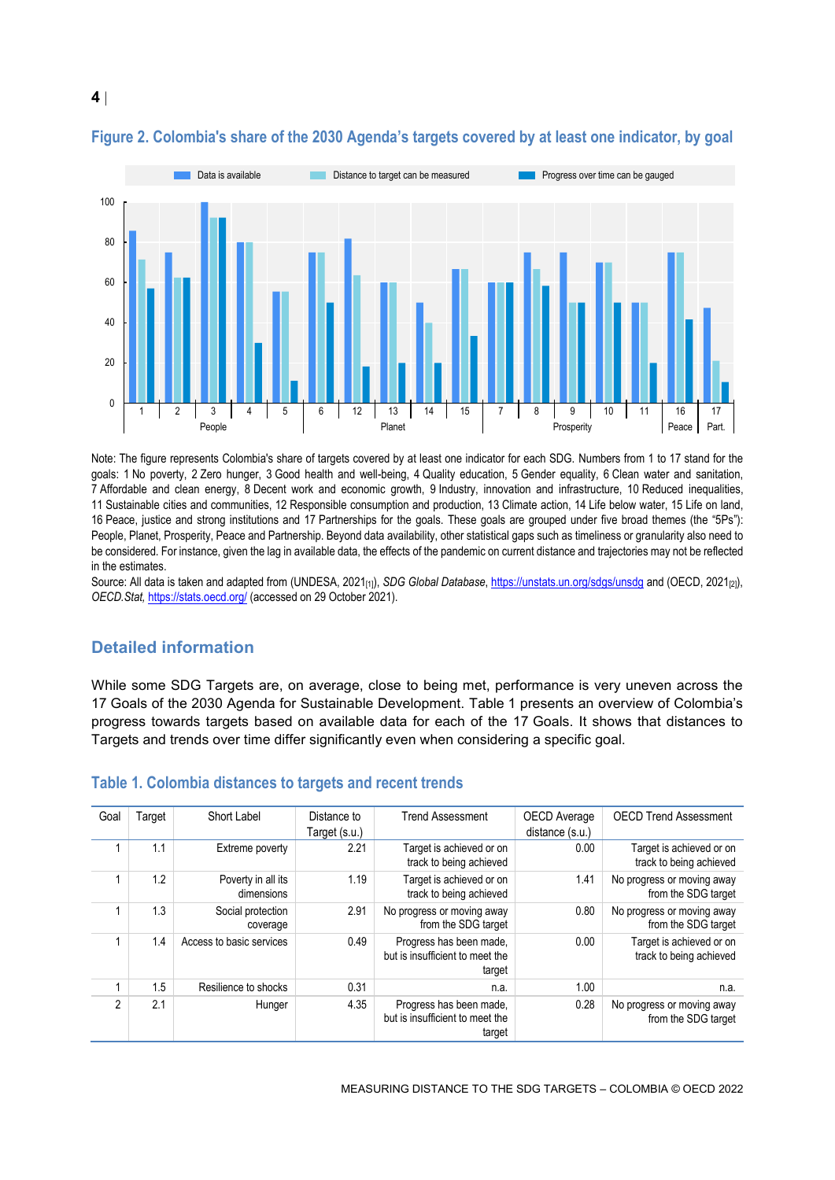

## <span id="page-3-1"></span>**Figure 2. Colombia's share of the 2030 Agenda's targets covered by at least one indicator, by goal**

Note: The figure represents Colombia's share of targets covered by at least one indicator for each SDG. Numbers from 1 to 17 stand for the goals: 1 No poverty, 2 Zero hunger, 3 Good health and well-being, 4 Quality education, 5 Gender equality, 6 Clean water and sanitation, 7 Affordable and clean energy, 8 Decent work and economic growth, 9 Industry, innovation and infrastructure, 10 Reduced inequalities, 11 Sustainable cities and communities, 12 Responsible consumption and production, 13 Climate action, 14 Life below water, 15 Life on land, 16 Peace, justice and strong institutions and 17 Partnerships for the goals. These goals are grouped under five broad themes (the "5Ps"): People, Planet, Prosperity, Peace and Partnership. Beyond data availability, other statistical gaps such as timeliness or granularity also need to be considered. For instance, given the lag in available data, the effects of the pandemic on current distance and trajectories may not be reflected in the estimates.

Source: All data is taken and adapted from (UNDESA, 2021<sub>[1]</sub>), *SDG Global Database*[, https://unstats.un.org/sdgs/unsdg](https://unstats.un.org/sdgs/unsdg) and (OECD, 2021<sub>[2]</sub>), *OECD.Stat,* <https://stats.oecd.org/> (accessed on 29 October 2021).

## **Detailed information**

While some SDG Targets are, on average, close to being met, performance is very uneven across the 17 Goals of the 2030 Agenda for Sustainable Development. [Table](#page-3-0) 1 presents an overview of Colombia's progress towards targets based on available data for each of the 17 Goals. It shows that distances to Targets and trends over time differ significantly even when considering a specific goal.

| Goal           | Target | Short Label                      | Distance to<br>Target (s.u.) | <b>Trend Assessment</b>                                              | OECD Average<br>distance (s.u.) | <b>OECD Trend Assessment</b>                        |
|----------------|--------|----------------------------------|------------------------------|----------------------------------------------------------------------|---------------------------------|-----------------------------------------------------|
|                | 1.1    | Extreme poverty                  | 2.21                         | Target is achieved or on<br>track to being achieved                  | 0.00                            | Target is achieved or on<br>track to being achieved |
|                | 1.2    | Poverty in all its<br>dimensions | 1.19                         | Target is achieved or on<br>track to being achieved                  | 1.41                            | No progress or moving away<br>from the SDG target   |
|                | 1.3    | Social protection<br>coverage    | 2.91                         | No progress or moving away<br>from the SDG target                    | 0.80                            | No progress or moving away<br>from the SDG target   |
|                | 1.4    | Access to basic services         | 0.49                         | Progress has been made.<br>but is insufficient to meet the<br>target | 0.00                            | Target is achieved or on<br>track to being achieved |
|                | 1.5    | Resilience to shocks             | 0.31                         | n.a.                                                                 | 1.00                            | n.a.                                                |
| $\mathfrak{p}$ | 2.1    | Hunger                           | 4.35                         | Progress has been made,<br>but is insufficient to meet the<br>target | 0.28                            | No progress or moving away<br>from the SDG target   |

#### <span id="page-3-0"></span>**Table 1. Colombia distances to targets and recent trends**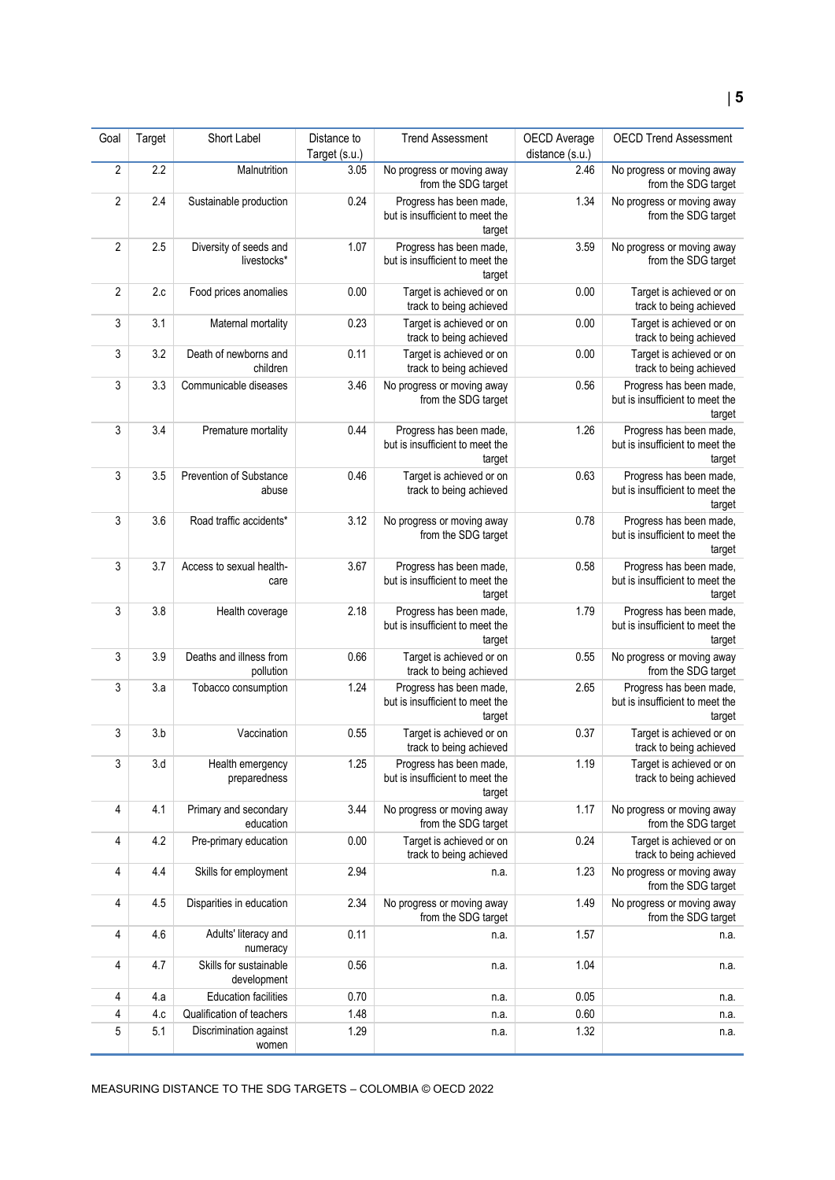| Goal           | Target | Short Label                             | Distance to<br>Target (s.u.) | <b>Trend Assessment</b>                                              | OECD Average<br>distance (s.u.) | <b>OECD Trend Assessment</b>                                         |
|----------------|--------|-----------------------------------------|------------------------------|----------------------------------------------------------------------|---------------------------------|----------------------------------------------------------------------|
| 2              | 2.2    | Malnutrition                            | 3.05                         | No progress or moving away<br>from the SDG target                    | 2.46                            | No progress or moving away<br>from the SDG target                    |
| 2              | 2.4    | Sustainable production                  | 0.24                         | Progress has been made,<br>but is insufficient to meet the<br>target | 1.34                            | No progress or moving away<br>from the SDG target                    |
| $\overline{2}$ | 2.5    | Diversity of seeds and<br>livestocks*   | 1.07                         | Progress has been made,<br>but is insufficient to meet the<br>target | 3.59                            | No progress or moving away<br>from the SDG target                    |
| 2              | 2.c    | Food prices anomalies                   | 0.00                         | Target is achieved or on<br>track to being achieved                  | 0.00                            | Target is achieved or on<br>track to being achieved                  |
| 3              | 3.1    | Maternal mortality                      | 0.23                         | Target is achieved or on<br>track to being achieved                  | 0.00                            | Target is achieved or on<br>track to being achieved                  |
| 3              | 3.2    | Death of newborns and<br>children       | 0.11                         | Target is achieved or on<br>track to being achieved                  | 0.00                            | Target is achieved or on<br>track to being achieved                  |
| 3              | 3.3    | Communicable diseases                   | 3.46                         | No progress or moving away<br>from the SDG target                    | 0.56                            | Progress has been made,<br>but is insufficient to meet the<br>target |
| 3              | 3.4    | Premature mortality                     | 0.44                         | Progress has been made,<br>but is insufficient to meet the<br>target | 1.26                            | Progress has been made,<br>but is insufficient to meet the<br>target |
| 3              | 3.5    | <b>Prevention of Substance</b><br>abuse | 0.46                         | Target is achieved or on<br>track to being achieved                  | 0.63                            | Progress has been made,<br>but is insufficient to meet the<br>target |
| 3              | 3.6    | Road traffic accidents*                 | 3.12                         | No progress or moving away<br>from the SDG target                    | 0.78                            | Progress has been made,<br>but is insufficient to meet the<br>target |
| 3              | 3.7    | Access to sexual health-<br>care        | 3.67                         | Progress has been made,<br>but is insufficient to meet the<br>target | 0.58                            | Progress has been made,<br>but is insufficient to meet the<br>target |
| 3              | 3.8    | Health coverage                         | 2.18                         | Progress has been made,<br>but is insufficient to meet the<br>target | 1.79                            | Progress has been made,<br>but is insufficient to meet the<br>target |
| 3              | 3.9    | Deaths and illness from<br>pollution    | 0.66                         | Target is achieved or on<br>track to being achieved                  | 0.55                            | No progress or moving away<br>from the SDG target                    |
| 3              | 3.a    | Tobacco consumption                     | 1.24                         | Progress has been made,<br>but is insufficient to meet the<br>target | 2.65                            | Progress has been made,<br>but is insufficient to meet the<br>target |
| 3              | 3.b    | Vaccination                             | 0.55                         | Target is achieved or on<br>track to being achieved                  | 0.37                            | Target is achieved or on<br>track to being achieved                  |
| 3              | 3.d    | Health emergency<br>preparedness        | 1.25                         | Progress has been made,<br>but is insufficient to meet the<br>target | 1.19                            | Target is achieved or on<br>track to being achieved                  |
| 4              | 4.1    | Primary and secondary<br>education      | 3.44                         | No progress or moving away<br>from the SDG target                    | 1.17                            | No progress or moving away<br>from the SDG target                    |
| 4              | 4.2    | Pre-primary education                   | 0.00                         | Target is achieved or on<br>track to being achieved                  | 0.24                            | Target is achieved or on<br>track to being achieved                  |
| 4              | 4.4    | Skills for employment                   | 2.94                         | n.a.                                                                 | 1.23                            | No progress or moving away<br>from the SDG target                    |
| 4              | 4.5    | Disparities in education                | 2.34                         | No progress or moving away<br>from the SDG target                    | 1.49                            | No progress or moving away<br>from the SDG target                    |
| 4              | 4.6    | Adults' literacy and<br>numeracy        | 0.11                         | n.a.                                                                 | 1.57                            | n.a.                                                                 |
| 4              | 4.7    | Skills for sustainable<br>development   | 0.56                         | n.a.                                                                 | 1.04                            | n.a.                                                                 |
| 4              | 4.a    | <b>Education facilities</b>             | 0.70                         | n.a.                                                                 | 0.05                            | n.a.                                                                 |
| 4              | 4.c    | Qualification of teachers               | 1.48                         | n.a.                                                                 | 0.60                            | n.a.                                                                 |
| 5              | 5.1    | Discrimination against<br>women         | 1.29                         | n.a.                                                                 | 1.32                            | n.a.                                                                 |

MEASURING DISTANCE TO THE SDG TARGETS – COLOMBIA © OECD 2022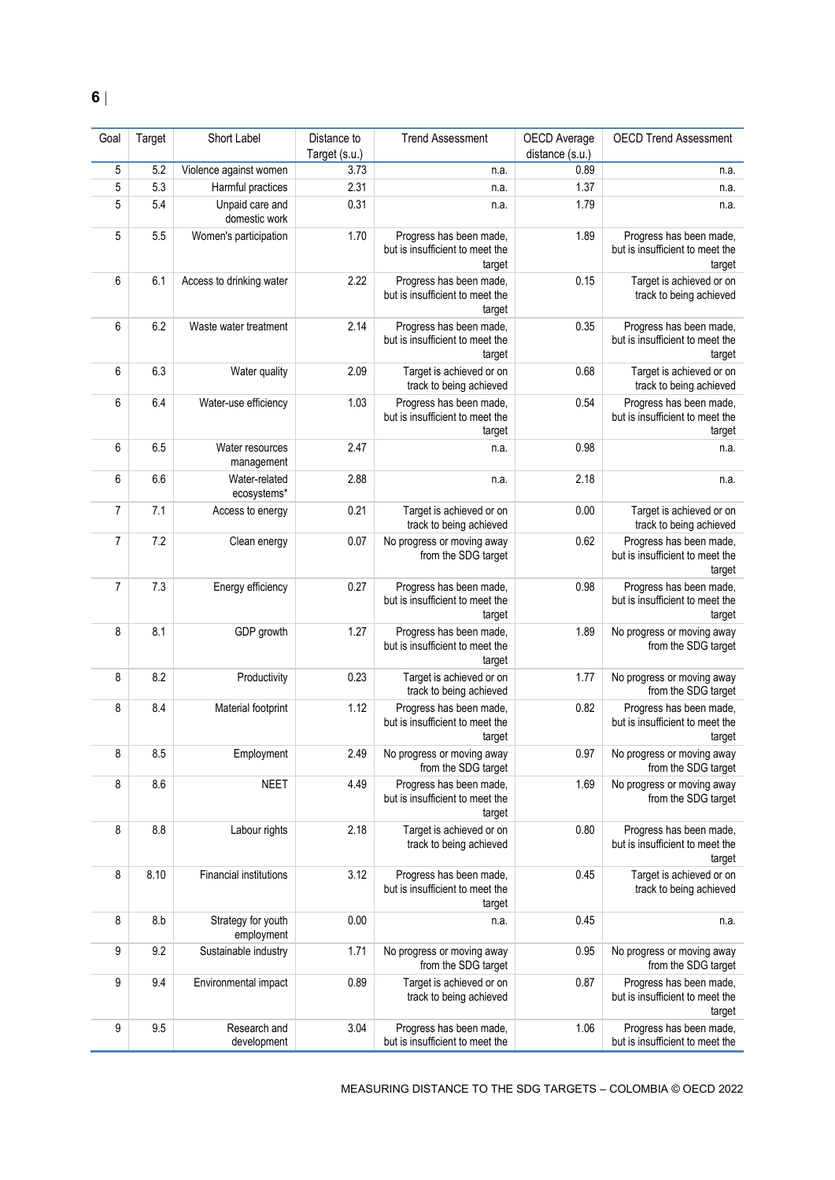| Goal           | Target | Short Label                      | Distance to   | <b>Trend Assessment</b>                                              | OECD Average    | <b>OECD Trend Assessment</b>                                         |
|----------------|--------|----------------------------------|---------------|----------------------------------------------------------------------|-----------------|----------------------------------------------------------------------|
|                |        |                                  | Target (s.u.) |                                                                      | distance (s.u.) |                                                                      |
| 5              | 5.2    | Violence against women           | 3.73          | n.a.                                                                 | 0.89            | n.a.                                                                 |
| 5              | 5.3    | Harmful practices                | 2.31          | n.a.                                                                 | 1.37            | n.a.                                                                 |
| 5              | 5.4    | Unpaid care and<br>domestic work | 0.31          | n.a.                                                                 | 1.79            | n.a.                                                                 |
| 5              | 5.5    | Women's participation            | 1.70          | Progress has been made,<br>but is insufficient to meet the<br>target | 1.89            | Progress has been made,<br>but is insufficient to meet the<br>target |
| 6              | 6.1    | Access to drinking water         | 2.22          | Progress has been made,<br>but is insufficient to meet the<br>target | 0.15            | Target is achieved or on<br>track to being achieved                  |
| 6              | 6.2    | Waste water treatment            | 2.14          | Progress has been made,<br>but is insufficient to meet the<br>target | 0.35            | Progress has been made,<br>but is insufficient to meet the<br>target |
| 6              | 6.3    | Water quality                    | 2.09          | Target is achieved or on<br>track to being achieved                  | 0.68            | Target is achieved or on<br>track to being achieved                  |
| 6              | 6.4    | Water-use efficiency             | 1.03          | Progress has been made,<br>but is insufficient to meet the<br>target | 0.54            | Progress has been made,<br>but is insufficient to meet the<br>target |
| 6              | 6.5    | Water resources<br>management    | 2.47          | n.a.                                                                 | 0.98            | n.a.                                                                 |
| 6              | 6.6    | Water-related<br>ecosystems*     | 2.88          | n.a.                                                                 | 2.18            | n.a.                                                                 |
| $\overline{7}$ | 7.1    | Access to energy                 | 0.21          | Target is achieved or on<br>track to being achieved                  | 0.00            | Target is achieved or on<br>track to being achieved                  |
| 7              | 7.2    | Clean energy                     | 0.07          | No progress or moving away<br>from the SDG target                    | 0.62            | Progress has been made,<br>but is insufficient to meet the<br>target |
| $\overline{7}$ | 7.3    | Energy efficiency                | 0.27          | Progress has been made,<br>but is insufficient to meet the<br>target | 0.98            | Progress has been made,<br>but is insufficient to meet the<br>target |
| 8              | 8.1    | GDP growth                       | 1.27          | Progress has been made,<br>but is insufficient to meet the<br>target | 1.89            | No progress or moving away<br>from the SDG target                    |
| 8              | 8.2    | Productivity                     | 0.23          | Target is achieved or on<br>track to being achieved                  | 1.77            | No progress or moving away<br>from the SDG target                    |
| 8              | 8.4    | Material footprint               | 1.12          | Progress has been made,<br>but is insufficient to meet the<br>target | 0.82            | Progress has been made,<br>but is insufficient to meet the<br>target |
| 8              | 8.5    | Employment                       | 2.49          | No progress or moving away<br>from the SDG target                    | 0.97            | No progress or moving away<br>from the SDG target                    |
| 8              | 8.6    | <b>NEET</b>                      | 4.49          | Progress has been made,<br>but is insufficient to meet the<br>target | 1.69            | No progress or moving away<br>from the SDG target                    |
| 8              | 8.8    | Labour rights                    | 2.18          | Target is achieved or on<br>track to being achieved                  | 0.80            | Progress has been made,<br>but is insufficient to meet the<br>target |
| 8              | 8.10   | Financial institutions           | 3.12          | Progress has been made,<br>but is insufficient to meet the<br>target | 0.45            | Target is achieved or on<br>track to being achieved                  |
| 8              | 8.b    | Strategy for youth<br>employment | 0.00          | n.a.                                                                 | 0.45            | n.a.                                                                 |
| 9              | 9.2    | Sustainable industry             | 1.71          | No progress or moving away<br>from the SDG target                    | 0.95            | No progress or moving away<br>from the SDG target                    |
| 9              | 9.4    | Environmental impact             | 0.89          | Target is achieved or on<br>track to being achieved                  | 0.87            | Progress has been made,<br>but is insufficient to meet the<br>target |
| 9              | 9.5    | Research and<br>development      | 3.04          | Progress has been made,<br>but is insufficient to meet the           | 1.06            | Progress has been made,<br>but is insufficient to meet the           |

MEASURING DISTANCE TO THE SDG TARGETS – COLOMBIA © OECD 2022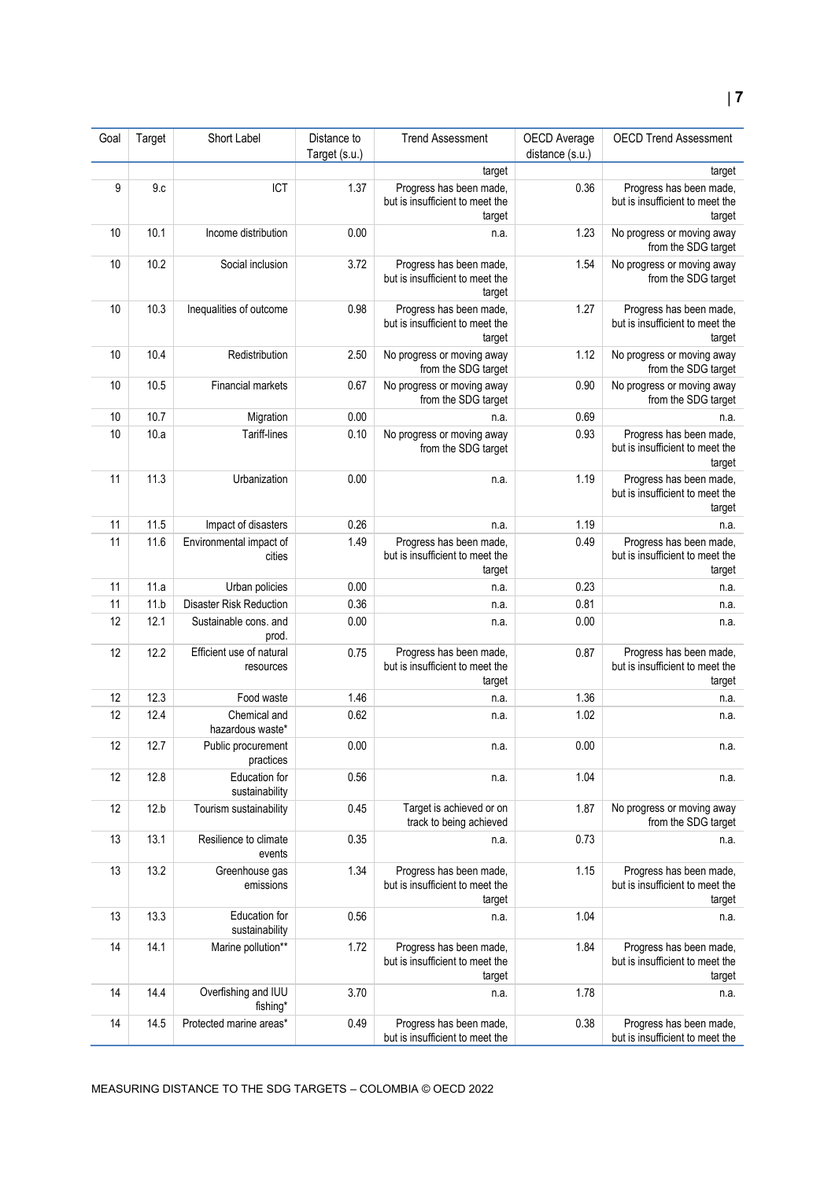## **7**

| Goal | Target | Short Label                           | Distance to<br>Target (s.u.) | <b>Trend Assessment</b>                                              | OECD Average<br>distance (s.u.) | <b>OECD Trend Assessment</b>                                         |
|------|--------|---------------------------------------|------------------------------|----------------------------------------------------------------------|---------------------------------|----------------------------------------------------------------------|
|      |        |                                       |                              | target                                                               |                                 | target                                                               |
| 9    | 9.c    | ICT                                   | 1.37                         | Progress has been made,<br>but is insufficient to meet the<br>target | 0.36                            | Progress has been made,<br>but is insufficient to meet the<br>target |
| 10   | 10.1   | Income distribution                   | 0.00                         | n.a.                                                                 | 1.23                            | No progress or moving away<br>from the SDG target                    |
| 10   | 10.2   | Social inclusion                      | 3.72                         | Progress has been made,<br>but is insufficient to meet the<br>target | 1.54                            | No progress or moving away<br>from the SDG target                    |
| 10   | 10.3   | Inequalities of outcome               | 0.98                         | Progress has been made,<br>but is insufficient to meet the<br>target | 1.27                            | Progress has been made,<br>but is insufficient to meet the<br>target |
| 10   | 10.4   | Redistribution                        | 2.50                         | No progress or moving away<br>from the SDG target                    | 1.12                            | No progress or moving away<br>from the SDG target                    |
| 10   | 10.5   | Financial markets                     | 0.67                         | No progress or moving away<br>from the SDG target                    | 0.90                            | No progress or moving away<br>from the SDG target                    |
| 10   | 10.7   | Migration                             | 0.00                         | n.a.                                                                 | 0.69                            | n.a.                                                                 |
| 10   | 10.a   | Tariff-lines                          | 0.10                         | No progress or moving away<br>from the SDG target                    | 0.93                            | Progress has been made,<br>but is insufficient to meet the<br>target |
| 11   | 11.3   | Urbanization                          | 0.00                         | n.a.                                                                 | 1.19                            | Progress has been made,<br>but is insufficient to meet the<br>target |
| 11   | 11.5   | Impact of disasters                   | 0.26                         | n.a.                                                                 | 1.19                            | n.a.                                                                 |
| 11   | 11.6   | Environmental impact of<br>cities     | 1.49                         | Progress has been made,<br>but is insufficient to meet the<br>target | 0.49                            | Progress has been made,<br>but is insufficient to meet the<br>target |
| 11   | 11.a   | Urban policies                        | 0.00                         | n.a.                                                                 | 0.23                            | n.a.                                                                 |
| 11   | 11.b   | <b>Disaster Risk Reduction</b>        | 0.36                         | n.a.                                                                 | 0.81                            | n.a.                                                                 |
| 12   | 12.1   | Sustainable cons. and<br>prod.        | 0.00                         | n.a.                                                                 | 0.00                            | n.a.                                                                 |
| 12   | 12.2   | Efficient use of natural<br>resources | 0.75                         | Progress has been made,<br>but is insufficient to meet the<br>target | 0.87                            | Progress has been made,<br>but is insufficient to meet the<br>target |
| 12   | 12.3   | Food waste                            | 1.46                         | n.a.                                                                 | 1.36                            | n.a.                                                                 |
| 12   | 12.4   | Chemical and<br>hazardous waste*      | 0.62                         | n.a.                                                                 | 1.02                            | n.a.                                                                 |
| 12   | 12.7   | Public procurement<br>practices       | 0.00                         | n.a.                                                                 | 0.00                            | n.a.                                                                 |
| 12   | 12.8   | Education for<br>sustainability       | 0.56                         | n.a.                                                                 | 1.04                            | n.a.                                                                 |
| 12   | 12.b   | Tourism sustainability                | 0.45                         | Target is achieved or on<br>track to being achieved                  | 1.87                            | No progress or moving away<br>from the SDG target                    |
| 13   | 13.1   | Resilience to climate<br>events       | 0.35                         | n.a.                                                                 | 0.73                            | n.a.                                                                 |
| 13   | 13.2   | Greenhouse gas<br>emissions           | 1.34                         | Progress has been made,<br>but is insufficient to meet the<br>target | 1.15                            | Progress has been made,<br>but is insufficient to meet the<br>target |
| 13   | 13.3   | Education for<br>sustainability       | 0.56                         | n.a.                                                                 | 1.04                            | n.a.                                                                 |
| 14   | 14.1   | Marine pollution**                    | 1.72                         | Progress has been made,<br>but is insufficient to meet the<br>target | 1.84                            | Progress has been made,<br>but is insufficient to meet the<br>target |
| 14   | 14.4   | Overfishing and IUU<br>fishing*       | 3.70                         | n.a.                                                                 | 1.78                            | n.a.                                                                 |
| 14   | 14.5   | Protected marine areas*               | 0.49                         | Progress has been made,<br>but is insufficient to meet the           | 0.38                            | Progress has been made,<br>but is insufficient to meet the           |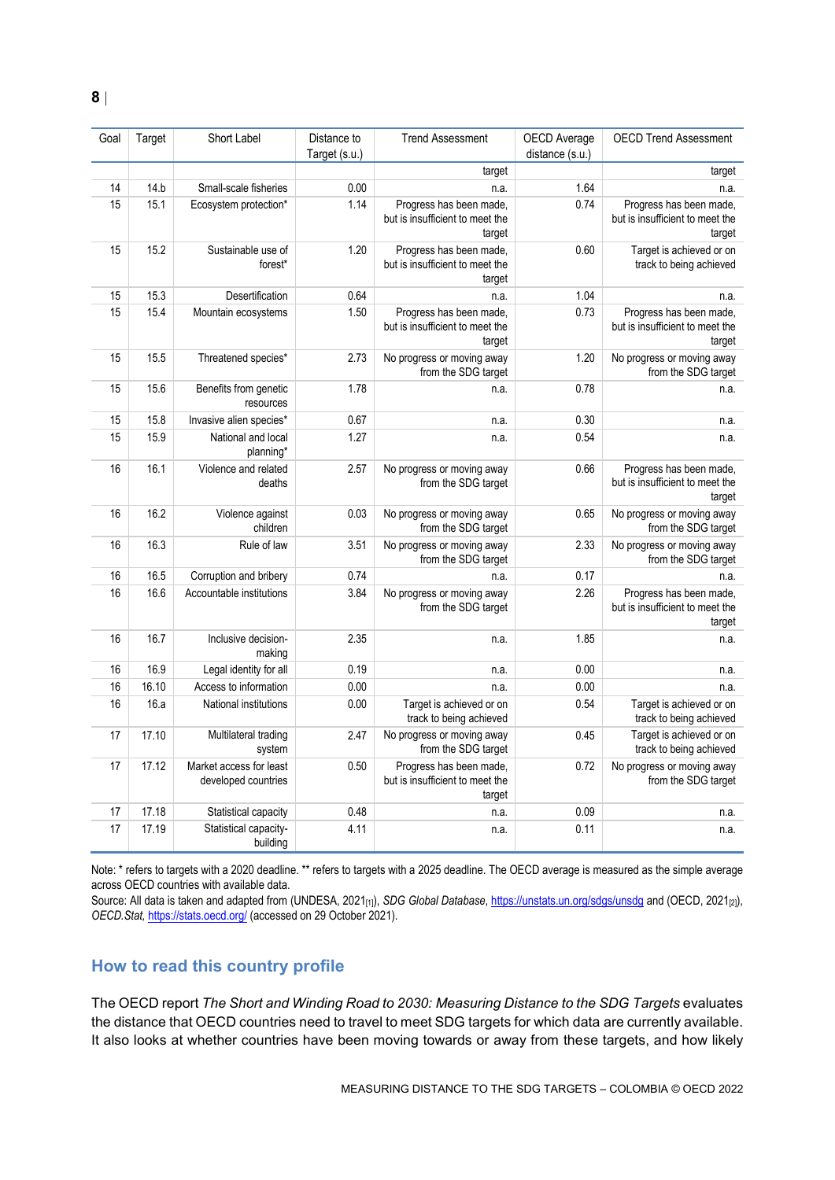| Goal | Target | Short Label                                    | Distance to<br>Target (s.u.) | <b>Trend Assessment</b>                                              | OECD Average<br>distance (s.u.) | <b>OECD Trend Assessment</b>                                         |
|------|--------|------------------------------------------------|------------------------------|----------------------------------------------------------------------|---------------------------------|----------------------------------------------------------------------|
|      |        |                                                |                              | target                                                               |                                 | target                                                               |
| 14   | 14.b   | Small-scale fisheries                          | 0.00                         | n.a.                                                                 | 1.64                            | n.a.                                                                 |
| 15   | 15.1   | Ecosystem protection*                          | 1.14                         | Progress has been made,<br>but is insufficient to meet the<br>target | 0.74                            | Progress has been made,<br>but is insufficient to meet the<br>target |
| 15   | 15.2   | Sustainable use of<br>forest*                  | 1.20                         | Progress has been made,<br>but is insufficient to meet the<br>target | 0.60                            | Target is achieved or on<br>track to being achieved                  |
| 15   | 15.3   | Desertification                                | 0.64                         | n.a.                                                                 | 1.04                            | n.a.                                                                 |
| 15   | 15.4   | Mountain ecosystems                            | 1.50                         | Progress has been made,<br>but is insufficient to meet the<br>target | 0.73                            | Progress has been made,<br>but is insufficient to meet the<br>target |
| 15   | 15.5   | Threatened species*                            | 2.73                         | No progress or moving away<br>from the SDG target                    | 1.20                            | No progress or moving away<br>from the SDG target                    |
| 15   | 15.6   | Benefits from genetic<br>resources             | 1.78                         | n.a.                                                                 | 0.78                            | n.a.                                                                 |
| 15   | 15.8   | Invasive alien species*                        | 0.67                         | n.a.                                                                 | 0.30                            | n.a.                                                                 |
| 15   | 15.9   | National and local<br>planning*                | 1.27                         | n.a.                                                                 | 0.54                            | n.a.                                                                 |
| 16   | 16.1   | Violence and related<br>deaths                 | 2.57                         | No progress or moving away<br>from the SDG target                    | 0.66                            | Progress has been made,<br>but is insufficient to meet the<br>target |
| 16   | 16.2   | Violence against<br>children                   | 0.03                         | No progress or moving away<br>from the SDG target                    | 0.65                            | No progress or moving away<br>from the SDG target                    |
| 16   | 16.3   | Rule of law                                    | 3.51                         | No progress or moving away<br>from the SDG target                    | 2.33                            | No progress or moving away<br>from the SDG target                    |
| 16   | 16.5   | Corruption and bribery                         | 0.74                         | n.a.                                                                 | 0.17                            | n.a.                                                                 |
| 16   | 16.6   | Accountable institutions                       | 3.84                         | No progress or moving away<br>from the SDG target                    | 2.26                            | Progress has been made,<br>but is insufficient to meet the<br>target |
| 16   | 16.7   | Inclusive decision-<br>making                  | 2.35                         | n.a.                                                                 | 1.85                            | n.a.                                                                 |
| 16   | 16.9   | Legal identity for all                         | 0.19                         | n.a.                                                                 | 0.00                            | n.a.                                                                 |
| 16   | 16.10  | Access to information                          | 0.00                         | n.a.                                                                 | 0.00                            | n.a.                                                                 |
| 16   | 16.a   | National institutions                          | 0.00                         | Target is achieved or on<br>track to being achieved                  | 0.54                            | Target is achieved or on<br>track to being achieved                  |
| 17   | 17.10  | Multilateral trading<br>system                 | 2.47                         | No progress or moving away<br>from the SDG target                    | 0.45                            | Target is achieved or on<br>track to being achieved                  |
| 17   | 17.12  | Market access for least<br>developed countries | 0.50                         | Progress has been made,<br>but is insufficient to meet the<br>target | 0.72                            | No progress or moving away<br>from the SDG target                    |
| 17   | 17.18  | Statistical capacity                           | 0.48                         | n.a.                                                                 | 0.09                            | n.a.                                                                 |
| 17   | 17.19  | Statistical capacity-<br>building              | 4.11                         | n.a.                                                                 | 0.11                            | n.a.                                                                 |

Note: \* refers to targets with a 2020 deadline. \*\* refers to targets with a 2025 deadline. The OECD average is measured as the simple average across OECD countries with available data.

Source: All data is taken and adapted from (UNDESA, 2021<sub>[1]</sub>), *SDG Global Database*[, https://unstats.un.org/sdgs/unsdg](https://unstats.un.org/sdgs/unsdg) and (OECD, 2021<sub>[2]</sub>), *OECD.Stat,* <https://stats.oecd.org/> (accessed on 29 October 2021).

#### <span id="page-7-0"></span>**How to read this country profile**

The OECD report *The Short and Winding Road to 2030: Measuring Distance to the SDG Targets* evaluates the distance that OECD countries need to travel to meet SDG targets for which data are currently available. It also looks at whether countries have been moving towards or away from these targets, and how likely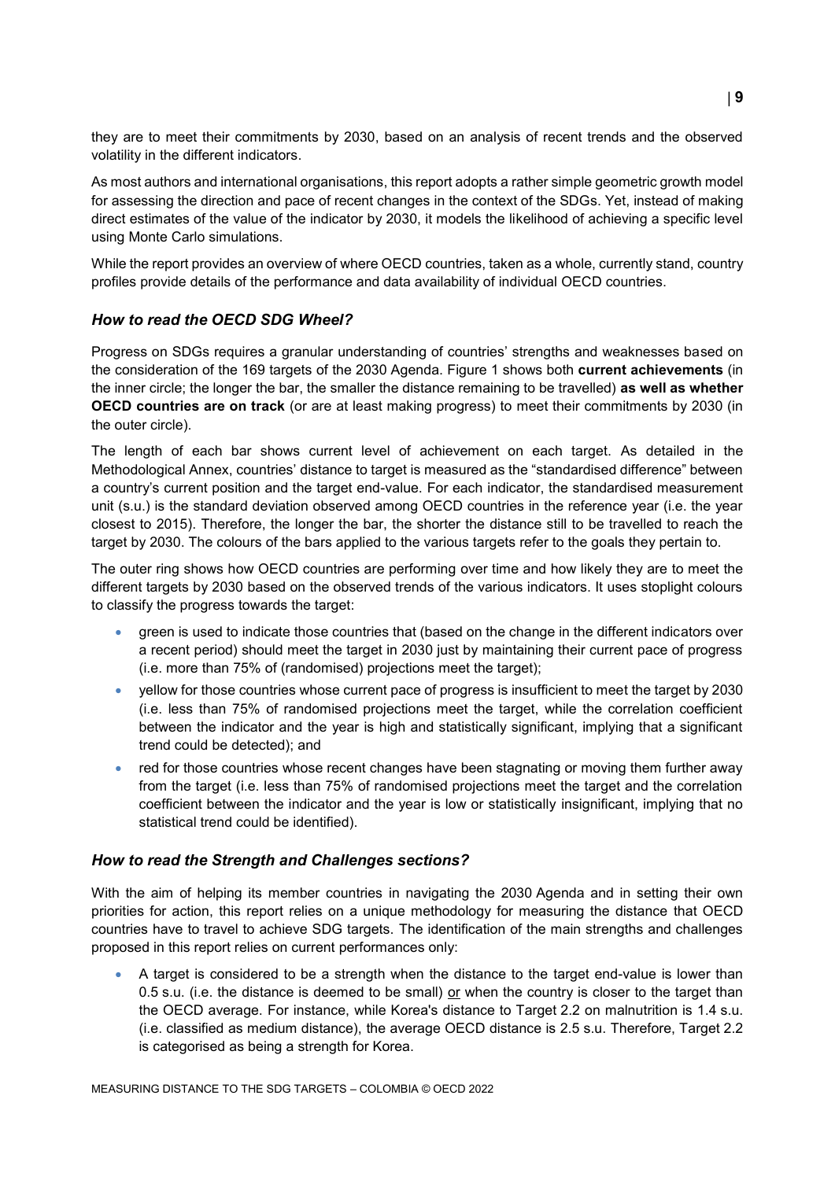they are to meet their commitments by 2030, based on an analysis of recent trends and the observed volatility in the different indicators.

As most authors and international organisations, this report adopts a rather simple geometric growth model for assessing the direction and pace of recent changes in the context of the SDGs. Yet, instead of making direct estimates of the value of the indicator by 2030, it models the likelihood of achieving a specific level using Monte Carlo simulations.

While the report provides an overview of where OECD countries, taken as a whole, currently stand, country profiles provide details of the performance and data availability of individual OECD countries.

#### *How to read the OECD SDG Wheel?*

Progress on SDGs requires a granular understanding of countries' strengths and weaknesses based on the consideration of the 169 targets of the 2030 Agenda. [Figure](#page-0-0) 1 shows both **current achievements** (in the inner circle; the longer the bar, the smaller the distance remaining to be travelled) **as well as whether OECD countries are on track** (or are at least making progress) to meet their commitments by 2030 (in the outer circle).

The length of each bar shows current level of achievement on each target. As detailed in the Methodological Annex, countries' distance to target is measured as the "standardised difference" between a country's current position and the target end-value. For each indicator, the standardised measurement unit (s.u.) is the standard deviation observed among OECD countries in the reference year (i.e. the year closest to 2015). Therefore, the longer the bar, the shorter the distance still to be travelled to reach the target by 2030. The colours of the bars applied to the various targets refer to the goals they pertain to.

The outer ring shows how OECD countries are performing over time and how likely they are to meet the different targets by 2030 based on the observed trends of the various indicators. It uses stoplight colours to classify the progress towards the target:

- green is used to indicate those countries that (based on the change in the different indicators over a recent period) should meet the target in 2030 just by maintaining their current pace of progress (i.e. more than 75% of (randomised) projections meet the target);
- yellow for those countries whose current pace of progress is insufficient to meet the target by 2030 (i.e. less than 75% of randomised projections meet the target, while the correlation coefficient between the indicator and the year is high and statistically significant, implying that a significant trend could be detected); and
- red for those countries whose recent changes have been stagnating or moving them further away from the target (i.e. less than 75% of randomised projections meet the target and the correlation coefficient between the indicator and the year is low or statistically insignificant, implying that no statistical trend could be identified).

#### *How to read the Strength and Challenges sections?*

With the aim of helping its member countries in navigating the 2030 Agenda and in setting their own priorities for action, this report relies on a unique methodology for measuring the distance that OECD countries have to travel to achieve SDG targets. The identification of the main strengths and challenges proposed in this report relies on current performances only:

 A target is considered to be a strength when the distance to the target end-value is lower than 0.5 s.u. (i.e. the distance is deemed to be small) or when the country is closer to the target than the OECD average. For instance, while Korea's distance to Target 2.2 on malnutrition is 1.4 s.u. (i.e. classified as medium distance), the average OECD distance is 2.5 s.u. Therefore, Target 2.2 is categorised as being a strength for Korea.